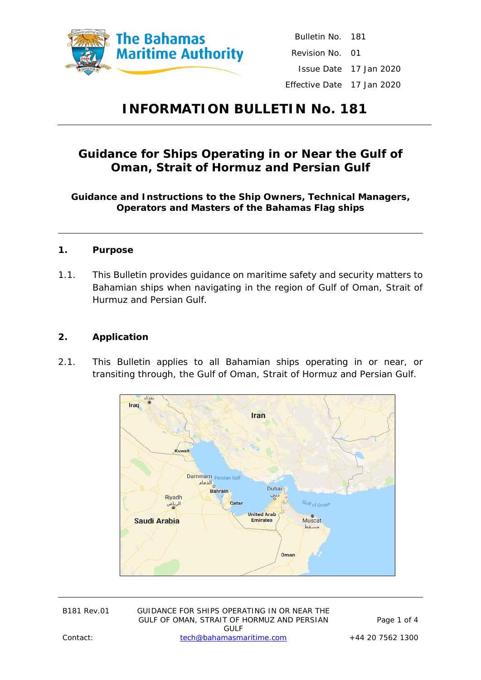

Bulletin No. 181 Revision No. 01 Issue Date 17 Jan 2020 Effective Date 17 Jan 2020

# **INFORMATION BULLETIN No. 181**

## **Guidance for Ships Operating in or Near the Gulf of Oman, Strait of Hormuz and Persian Gulf**

**Guidance and Instructions to the Ship Owners, Technical Managers, Operators and Masters of the Bahamas Flag ships**

- **1. Purpose**
- 1.1. This Bulletin provides guidance on maritime safety and security matters to Bahamian ships when navigating in the region of Gulf of Oman, Strait of Hurmuz and Persian Gulf.
- **2. Application**
- 2.1. This Bulletin applies to all Bahamian ships operating in or near, or transiting through, the Gulf of Oman, Strait of Hormuz and Persian Gulf.



| <b>B181 Rev.01</b> |
|--------------------|
|                    |

GUIDANCE FOR SHIPS OPERATING IN OR NEAR THE GULF OF OMAN, STRAIT OF HORMUZ AND PERSIAN GULF Contact: [tech@bahamasmaritime.com](mailto:tech@bahamasmaritime.com) +44 20 7562 1300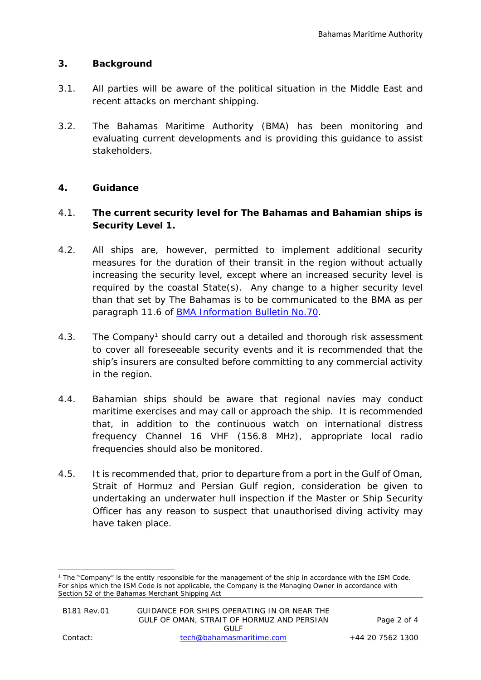#### **3. Background**

- 3.1. All parties will be aware of the political situation in the Middle East and recent attacks on merchant shipping.
- 3.2. The Bahamas Maritime Authority (BMA) has been monitoring and evaluating current developments and is providing this guidance to assist stakeholders.

#### **4. Guidance**

- 4.1. **The current security level for The Bahamas and Bahamian ships is Security Level 1.**
- 4.2. All ships are, however, permitted to implement additional security measures for the duration of their transit in the region without actually increasing the security level, except where an increased security level is required by the coastal State(s). Any change to a higher security level than that set by The Bahamas is to be communicated to the BMA as per paragraph 11.6 of **BMA Information Bulletin No.70.**
- 4.3. The Company<sup>1</sup> should carry out a detailed and thorough risk assessment to cover all foreseeable security events and it is recommended that the ship's insurers are consulted before committing to any commercial activity in the region.
- 4.4. Bahamian ships should be aware that regional navies may conduct maritime exercises and may call or approach the ship. It is recommended that, in addition to the continuous watch on international distress frequency Channel 16 VHF (156.8 MHz), appropriate local radio frequencies should also be monitored.
- 4.5. It is recommended that, prior to departure from a port in the Gulf of Oman, Strait of Hormuz and Persian Gulf region, consideration be given to undertaking an underwater hull inspection if the Master or Ship Security Officer has any reason to suspect that unauthorised diving activity may have taken place.

<sup>1</sup> The "Company" is the entity responsible for the management of the ship in accordance with the ISM Code. For ships which the ISM Code is not applicable, the Company is the Managing Owner in accordance with Section 52 of the Bahamas Merchant Shipping Act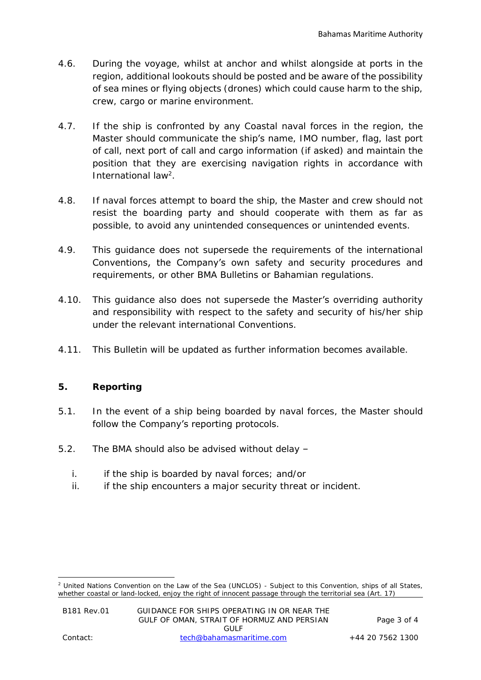- 4.6. During the voyage, whilst at anchor and whilst alongside at ports in the region, additional lookouts should be posted and be aware of the possibility of sea mines or flying objects (drones) which could cause harm to the ship, crew, cargo or marine environment.
- 4.7. If the ship is confronted by any Coastal naval forces in the region, the Master should communicate the ship's name, IMO number, flag, last port of call, next port of call and cargo information (if asked) and maintain the position that they are exercising navigation rights in accordance with International law<sup>2</sup>.
- 4.8. If naval forces attempt to board the ship, the Master and crew should not resist the boarding party and should cooperate with them as far as possible, to avoid any unintended consequences or unintended events.
- 4.9. This guidance does not supersede the requirements of the international Conventions, the Company's own safety and security procedures and requirements, or other BMA Bulletins or Bahamian regulations.
- 4.10. This guidance also does not supersede the Master's overriding authority and responsibility with respect to the safety and security of his/her ship under the relevant international Conventions.
- 4.11. This Bulletin will be updated as further information becomes available.

### **5. Reporting**

- 5.1. In the event of a ship being boarded by naval forces, the Master should follow the Company's reporting protocols.
- 5.2. The BMA should also be advised without delay
	- i. if the ship is boarded by naval forces; and/or
	- ii. if the ship encounters a major security threat or incident.

<sup>&</sup>lt;sup>2</sup> United Nations Convention on the Law of the Sea (UNCLOS) - Subject to this Convention, ships of all States, whether coastal or land-locked, enjoy the right of innocent passage through the territorial sea (Art. 17)